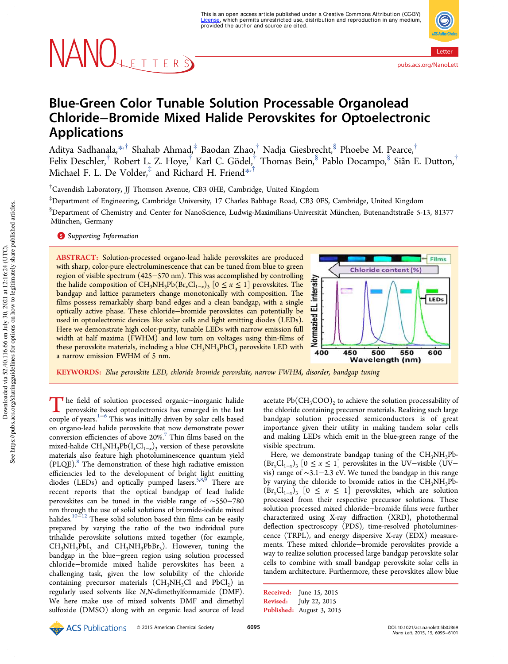# NANOLETTERS

Letter pubs.acs.org/NanoLett

## Blue-Green Color Tunable Solution Processable Organolead Chloride−Bromide Mixed Halide Perovskites for Optoelectronic Applications

Aditya Sadhanala, $^{*,\dagger}$  Shahab Ahmad $,^\ddagger$  Baodan Zhao, $^\dagger$  Nadja Giesbrecht, $^\$$  Phoebe M. Pearce, $^\dagger$ Felix Deschler,<sup>†</sup> Robert L. Z. Hoye,<sup>†</sup> Karl C. Gödel,<sup>†</sup> Thomas Bein,<sup>§</sup> Pablo Docampo,<sup>§</sup> Siân E. Dutton,<sup>†</sup> Michael F. L. De Volder, $^\ddag$  and Richard H. Friend $^{\ast ^{^\ddag^{\ddag}$ 

†Cavendish Laboratory, JJ Thomson Avenue, CB3 0HE, Cambridge, United Kingdom

‡Department of Engineering, Cambridge University, 17 Charles Babbage Road, CB3 0FS, Cambridge, United Kingdom  $$$ Department of Chemistry and Center for NanoScience, Ludwig-Maximilians-Universität München, Butenandtstraße 5-13, 81377 München, Germany

**S** Supporting Information

ABSTRACT: Solution-processed organo-lead halide perovskites are produced with sharp, color-pure electroluminescence that can be tuned from blue to green region of visible spectrum (425−570 nm). This was accomplished by controlling the halide composition of  $\text{CH}_3\text{NH}_3\text{Pb}(\text{Br}_x\text{Cl}_{1-x})$ <sub>3</sub>  $[0 \le x \le 1]$  perovskites. The bandgap and lattice parameters change monotonically with composition. The films possess remarkably sharp band edges and a clean bandgap, with a single optically active phase. These chloride−bromide perovskites can potentially be used in optoelectronic devices like solar cells and light emitting diodes (LEDs). Here we demonstrate high color-purity, tunable LEDs with narrow emission full width at half maxima (FWHM) and low turn on voltages using thin-films of these perovskite materials, including a blue  $CH_3NH_3PbCl_3$  perovskite LED with a narrow emission FWHM of 5 nm.



KEYWORDS: *Blue perovskite LED, chloride bromide perovskite, narrow FWHM, disorder, bandgap tuning*

The field of solution processed organic−inorganic halide<br>perovskite based optoelectronics has emerged in the last<br>peroperty This pero initially binary has also alle hard perovskite based optoelectronics has emerged in the last couple of years.1−<sup>6</sup> This was initially driven by solar cells based on organo-lead halide perovskite that now demonstrate power conversion efficiencies of above 20%.<sup>7</sup> Thin films based on the mixed-halide CH<sub>3</sub>NH<sub>3</sub>Pb(I<sub>x</sub>Cl<sub>1−*x*</sub>)<sub>3</sub> version of these perovskite materials also feature high photoluminescence quantum yield  $(PLQE).$ <sup>8</sup> The demonstration of these high radiative emission efficiencies led to the development of bright light emitting diodes (LEDs) and optically pumped lasers.<sup>5,8,9</sup> There are recent reports that the optical bandgap of lead halide perovskites can be tuned in the visible range of ∼550−780 nm through the use of solid solutions of bromide-iodide mixed halides.10−<sup>12</sup> These solid solution based thin films can be easily prepared by varying the ratio of the two individual pure trihalide perovskite solutions mixed together (for example,  $CH_3NH_3PbI_3$  and  $CH_3NH_3PbBr_3$ ). However, tuning the bandgap in the blue−green region using solution processed chloride−bromide mixed halide perovskites has been a challenging task, given the low solubility of the chloride containing precursor materials  $(\text{CH}_3\text{NH}_3\text{Cl}$  and  $\text{PbCl}_2)$  in regularly used solvents like *N*,*N*-dimethylformamide (DMF). We here make use of mixed solvents DMF and dimethyl sulfoxide (DMSO) along with an organic lead source of lead

acetate  $\mathrm{Pb}(\mathrm{CH_{3}COO})_{2}$  to achieve the solution processability of the chloride containing precursor materials. Realizing such large bandgap solution processed semiconductors is of great importance given their utility in making tandem solar cells and making LEDs which emit in the blue-green range of the visible spectrum.

Here, we demonstrate bandgap tuning of the  $CH<sub>3</sub>NH<sub>3</sub>Pb (\text{Br}_xCl_{1-x})$ <sub>3</sub> [0 ≤ *x* ≤ 1] perovskites in the UV–visible (UV– vis) range of ∼3.1−2.3 eV. We tuned the bandgap in this range by varying the chloride to bromide ratios in the  $CH<sub>3</sub>NH<sub>3</sub>Pb (Br_xCl_{1-x})$ <sub>3</sub> [0 ≤ *x* ≤ 1] perovskites, which are solution processed from their respective precursor solutions. These solution processed mixed chloride−bromide films were further characterized using X-ray diffraction (XRD), photothermal deflection spectroscopy (PDS), time-resolved photoluminescence (TRPL), and energy dispersive X-ray (EDX) measurements. These mixed chloride−bromide perovskites provide a way to realize solution processed large bandgap perovskite solar cells to combine with small bandgap perovskite solar cells in tandem architecture. Furthermore, these perovskites allow blue

Received: June 15, 2015 Revised: July 22, 2015 Published: August 3, 2015

Downloaded via 52.40.116.66 on July 30, 2021 at 12:16:24 (UTC).<br>See https://pubs.acs.org/sharingguidelines for options on how to legitimately share published articles. See https://pubs.acs.org/sharingguidelines for options on how to legitimately share published articles.Downloaded via 52.40.116.66 on July 30, 2021 at 12:16:24 (UTC).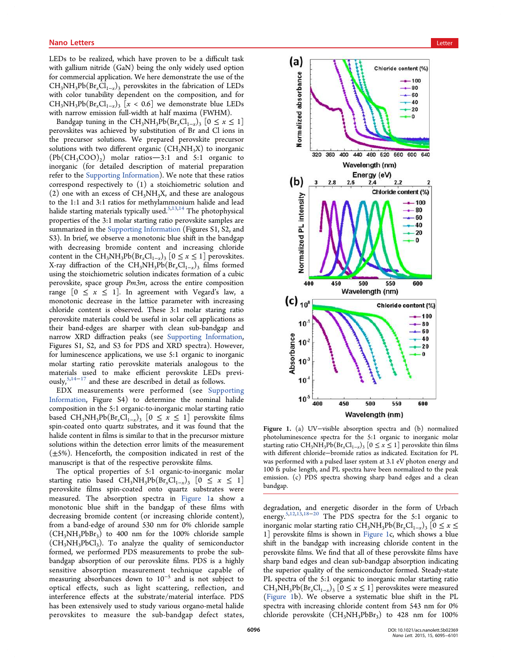LEDs to be realized, which have proven to be a difficult task with gallium nitride (GaN) being the only widely used option for commercial application. We here demonstrate the use of the CH<sub>3</sub>NH<sub>3</sub>Pb(Br<sub>x</sub>Cl<sub>1−x</sub>)<sub>3</sub> perovskites in the fabrication of LEDs with color tunability dependent on the composition, and for  $CH_3NH_3Pb(Br_xCl_{1-x})$ <sub>3</sub> [*x* < 0.6] we demonstrate blue LEDs with narrow emission full-width at half maxima (FWHM).

Bandgap tuning in the CH<sub>3</sub>NH<sub>3</sub>Pb(Br<sub>*x*</sub>Cl<sub>1-*x*</sub>)<sub>3</sub> [0 ≤ *x* ≤ 1] perovskites was achieved by substitution of Br and Cl ions in the precursor solutions. We prepared perovskite precursor solutions with two different organic  $(CH_3NH_3X)$  to inorganic  $(Pb(CH_3COO)_2)$  molar ratios-3:1 and 5:1 organic to inorganic (for detailed description of material preparation refer to the Supporting Information). We note that these ratios correspond respectively to (1) a stoichiometric solution and  $(2)$  one with an excess of CH<sub>3</sub>NH<sub>3</sub>X, and these are analogous to the 1:1 and 3:1 ratios for methylammonium halide and lead halide starting materials typically used.<sup>5,13,14</sup> The photophysical properties of the 3:1 molar starting ratio perovskite samples are summarized in the Supporting Information (Figures S1, S2, and S3). In brief, we observe a monotonic blue shift in the bandgap with decreasing bromide content and increasing chloride content in the  $\text{CH}_3\text{NH}_3\text{Pb}(\text{Br}_x\text{Cl}_{1-x})_3$  [0 ≤ *x* ≤ 1] perovskites. X-ray diffraction of the CH<sub>3</sub>NH<sub>3</sub>Pb(Br<sub>x</sub>Cl<sub>1−x</sub>)<sub>3</sub> films formed using the stoichiometric solution indicates formation of a cubic perovskite, space group *Pm3m*, across the entire composition range  $[0 \le x \le 1]$ . In agreement with Vegard's law, a monotonic decrease in the lattice parameter with increasing chloride content is observed. These 3:1 molar staring ratio perovskite materials could be useful in solar cell applications as their band-edges are sharper with clean sub-bandgap and narrow XRD diffraction peaks (see Supporting Information, Figures S1, S2, and S3 for PDS and XRD spectra). However, for luminescence applications, we use 5:1 organic to inorganic molar starting ratio perovskite materials analogous to the materials used to make efficient perovskite LEDs previously,<sup>5,14−17</sup> and these are described in detail as follows.

EDX measurements were performed (see Supporting Information, Figure S4) to determine the nominal halide composition in the 5:1 organic-to-inorganic molar starting ratio based CH<sub>3</sub>NH<sub>3</sub>Pb(Br<sub>*x*</sub>Cl<sub>1−*x*</sub>)<sub>3</sub> [0 ≤ *x* ≤ 1] perovskite films spin-coated onto quartz substrates, and it was found that the halide content in films is similar to that in the precursor mixture solutions within the detection error limits of the measurement  $(\pm 5\%)$ . Henceforth, the composition indicated in rest of the manuscript is that of the respective perovskite films.

The optical properties of 5:1 organic-to-inorganic molar starting ratio based  $CH_3NH_3Pb(Br_xCl_{1-x})$ <sub>3</sub>  $[0 \le x \le 1]$ perovskite films spin-coated onto quartz substrates were measured. The absorption spectra in Figure 1a show a monotonic blue shift in the bandgap of these films with decreasing bromide content (or increasing chloride content), from a band-edge of around 530 nm for 0% chloride sample  $(CH_3NH_3PbBr_3)$  to 400 nm for the 100% chloride sample  $(CH_3NH_3PbCl_3)$ . To analyze the quality of semiconductor formed, we performed PDS measurements to probe the subbandgap absorption of our perovskite films. PDS is a highly sensitive absorption measurement technique capable of measuring absorbances down to 10<sup>−</sup><sup>5</sup> and is not subject to optical effects, such as light scattering, reflection, and interference effects at the substrate/material interface. PDS has been extensively used to study various organo-metal halide perovskites to measure the sub-bandgap defect states,



Figure 1. (a) UV−visible absorption spectra and (b) normalized photoluminescence spectra for the 5:1 organic to inorganic molar starting ratio CH<sub>3</sub>NH<sub>3</sub>Pb(Br<sub>x</sub>Cl<sub>1−x</sub>)<sub>3</sub> [0 ≤ *x* ≤ 1] perovskite thin films with different chloride−bromide ratios as indicated. Excitation for PL was performed with a pulsed laser system at 3.1 eV photon energy and 100 fs pulse length, and PL spectra have been normalized to the peak emission. (c) PDS spectra showing sharp band edges and a clean bandgap.

degradation, and energetic disorder in the form of Urbach energy.<sup>5,12,13,18-20</sup> The PDS spectra for the 5:1 organic to inorganic molar starting ratio  $CH_3NH_3Pb(Br_xCl_{1-x})$ <sub>3</sub> [0 ≤ *x* ≤ 1] perovskite films is shown in Figure 1c, which shows a blue shift in the bandgap with increasing chloride content in the perovskite films. We find that all of these perovskite films have sharp band edges and clean sub-bandgap absorption indicating the superior quality of the semiconductor formed. Steady-state PL spectra of the 5:1 organic to inorganic molar starting ratio CH<sub>3</sub>NH<sub>3</sub>Pb(Br<sub>x</sub>Cl<sub>1-x</sub>)<sub>3</sub> [ $0 \le x \le 1$ ] perovskites were measured (Figure 1b). We observe a systematic blue shift in the PL spectra with increasing chloride content from 543 nm for 0% chloride perovskite  $(CH_3NH_3PbBr_3)$  to 428 nm for 100%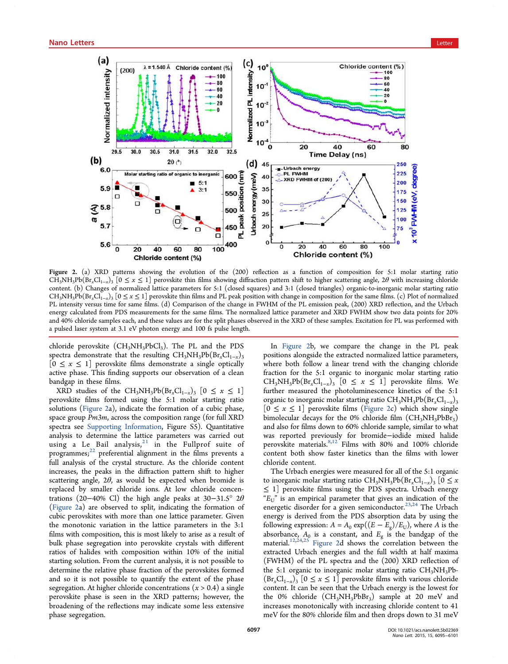

Figure 2. (a) XRD patterns showing the evolution of the (200) reflection as a function of composition for 5:1 molar starting ratio  $CH_3NH_3Pb(Br_xCl_{1-x})$  [0 ≤ *x* ≤ 1] perovskite thin films showing diffraction pattern shift to higher scattering angle, 2θ with increasing chloride content. (b) Changes of normalized lattice parameters for 5:1 (closed squares) and 3:1 (closed triangles) organic-to-inorganic molar starting ratio CH3NH3Pb(Br*x*Cl1−*<sup>x</sup>* )3 [0 ≤ *x* ≤ 1] perovskite thin films and PL peak position with change in composition for the same films. (c) Plot of normalized PL intensity versus time for same films. (d) Comparison of the change in FWHM of the PL emission peak, (200) XRD reflection, and the Urbach energy calculated from PDS measurements for the same films. The normalized lattice parameter and XRD FWHM show two data points for 20% and 40% chloride samples each, and these values are for the split phases observed in the XRD of these samples. Excitation for PL was performed with a pulsed laser system at 3.1 eV photon energy and 100 fs pulse length.

chloride perovskite  $(CH_3NH_3PbCl_3)$ . The PL and the PDS spectra demonstrate that the resulting CH<sub>3</sub>NH<sub>3</sub>Pb(Br<sub>x</sub>Cl<sub>1−*x*</sub>)<sub>3</sub>  $[0 \le x \le 1]$  perovskite films demonstrate a single optically active phase. This finding supports our observation of a clean bandgap in these films.

 $XRD$  studies of the  $CH_3NH_3Pb(Br_xCl_{1-x})$ <sub>3</sub> [0 ≤ *x* ≤ 1] perovskite films formed using the 5:1 molar starting ratio solutions (Figure 2a), indicate the formation of a cubic phase, space group *Pm3m*, across the composition range (for full XRD spectra see Supporting Information, Figure S5). Quantitative analysis to determine the lattice parameters was carried out using a Le Bail analysis,  $21$  in the Fullprof suite of programmes; <sup>22</sup> preferential alignment in the films prevents a full analysis of the crystal structure. As the chloride content increases, the peaks in the diffraction pattern shift to higher scattering angle,  $2\theta$ , as would be expected when bromide is replaced by smaller chloride ions. At low chloride concentrations (20−40% Cl) the high angle peaks at 30−31.5° 2θ (Figure 2a) are observed to split, indicating the formation of cubic perovskites with more than one lattice parameter. Given the monotonic variation in the lattice parameters in the 3:1 films with composition, this is most likely to arise as a result of bulk phase segregation into perovskite crystals with different ratios of halides with composition within 10% of the initial starting solution. From the current analysis, it is not possible to determine the relative phase fraction of the perovskites formed and so it is not possible to quantify the extent of the phase segregation. At higher chloride concentrations (*x* > 0.4) a single perovskite phase is seen in the XRD patterns; however, the broadening of the reflections may indicate some less extensive phase segregation.

In Figure 2b, we compare the change in the PL peak positions alongside the extracted normalized lattice parameters, where both follow a linear trend with the changing chloride fraction for the 5:1 organic to inorganic molar starting ratio CH<sub>3</sub>NH<sub>3</sub>Pb(Br<sub>x</sub>Cl<sub>1-x</sub>)<sub>3</sub> [0 ≤ *x* ≤ 1] perovskite films. We further measured the photoluminescence kinetics of the 5:1 organic to inorganic molar starting ratio CH<sub>3</sub>NH<sub>3</sub>Pb(Br<sub>*x*</sub>Cl<sub>1−*x*</sub>)<sub>3</sub>  $[0 \le x \le 1]$  perovskite films (Figure 2c) which show single bimolecular decays for the 0% chloride film  $(CH_3NH_3PbBr_3)$ and also for films down to 60% chloride sample, similar to what was reported previously for bromide−iodide mixed halide perovskite materials.<sup>8,12</sup> Films with 80% and 100% chloride content both show faster kinetics than the films with lower chloride content.

The Urbach energies were measured for all of the 5:1 organic to inorganic molar starting ratio  $CH_3NH_3Pb(Br_xCl_{1-x})$ <sub>3</sub> [ $0 \le x$ ≤ 1] perovskite films using the PDS spectra. Urbach energy  $E_{U}$ <sup>"</sup> is an empirical parameter that gives an indication of the energetic disorder for a given semiconductor.<sup>23,24</sup> The Urbach energy is derived from the PDS absorption data by using the following expression:  $A = A_0 \exp((E - E_g)/E_U)$ , where *A* is the absorbance,  $A_0$  is a constant, and  $E_g$  is the bandgap of the material.<sup>12,24,25</sup> Figure 2d shows the correlation between the extracted Urbach energies and the full width at half maxima (FWHM) of the PL spectra and the (200) XRD reflection of the 5:1 organic to inorganic molar starting ratio  $CH<sub>3</sub>NH<sub>3</sub>Pb \left(\text{Br}_x \text{Cl}_{1-x}\right)_3$  [0 ≤ *x* ≤ 1] perovskite films with various chloride content. It can be seen that the Urbach energy is the lowest for the 0% chloride  $(CH_3NH_3PbBr_3)$  sample at 20 meV and increases monotonically with increasing chloride content to 41 meV for the 80% chloride film and then drops down to 31 meV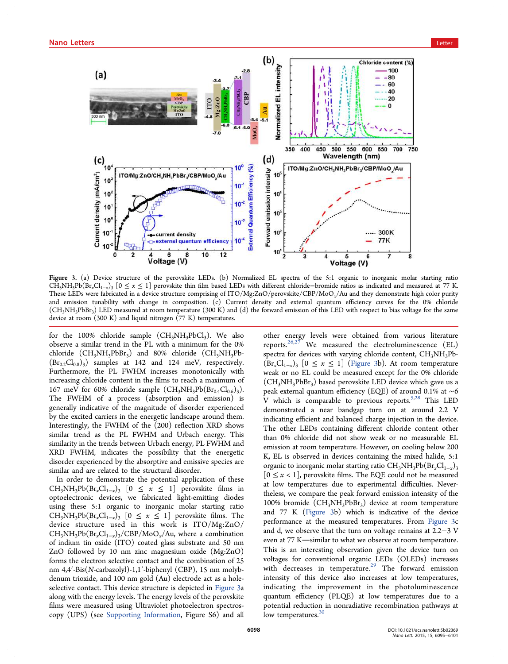

Figure 3. (a) Device structure of the perovskite LEDs. (b) Normalized EL spectra of the 5:1 organic to inorganic molar starting ratio CH3NH3Pb(Br*x*Cl1−*<sup>x</sup>* )3 [0 ≤ *x* ≤ 1] perovskite thin film based LEDs with different chloride−bromide ratios as indicated and measured at 77 K. These LEDs were fabricated in a device structure comprising of ITO/Mg:ZnO/perovskite/CBP/MoO*x*/Au and they demonstrate high color purity and emission tunability with change in composition. (c) Current density and external quantum efficiency curves for the 0% chloride (CH<sub>3</sub>NH<sub>3</sub>PbBr<sub>3</sub>) LED measured at room temperature (300 K) and (d) the forward emission of this LED with respect to bias voltage for the same device at room (300 K) and liquid nitrogen (77 K) temperatures.

for the 100% chloride sample  $(CH_3NH_3PbCl_3)$ . We also observe a similar trend in the PL with a minimum for the 0% chloride  $(CH_3NH_3PbBr_3)$  and 80% chloride  $(CH_3NH_3Pb$ - $(Br_{0.2}Cl_{0.8})_3$ ) samples at 142 and 124 meV, respectively. Furthermore, the PL FWHM increases monotonically with increasing chloride content in the films to reach a maximum of 167 meV for 60% chloride sample  $(CH_3NH_3Pb(Br_{0.4}Cl_{0.6})_3)$ . The FWHM of a process (absorption and emission) is generally indicative of the magnitude of disorder experienced by the excited carriers in the energetic landscape around them. Interestingly, the FWHM of the (200) reflection XRD shows similar trend as the PL FWHM and Urbach energy. This similarity in the trends between Urbach energy, PL FWHM and XRD FWHM, indicates the possibility that the energetic disorder experienced by the absorptive and emissive species are similar and are related to the structural disorder.

In order to demonstrate the potential application of these  $CH_3NH_3Pb(Br_xCl_{1-x})$  [0 ≤  $x$  ≤ 1] perovskite films in optoelectronic devices, we fabricated light-emitting diodes using these 5:1 organic to inorganic molar starting ratio CH<sub>3</sub>NH<sub>3</sub>Pb(Br<sub>x</sub>Cl<sub>1−x</sub>)<sub>3</sub> [0 ≤ *x* ≤ 1] perovskite films. The device structure used in this work is ITO/Mg:ZnO/ CH3NH3Pb(Br*x*Cl1−*<sup>x</sup>* )3/CBP/MoO*x*/Au, where a combination of indium tin oxide (ITO) coated glass substrate and 50 nm ZnO followed by 10 nm zinc magnesium oxide (Mg:ZnO) forms the electron selective contact and the combination of 25 nm 4,4′-Bis(*N*-carbazolyl)-1,1′-biphenyl (CBP), 15 nm molybdenum trioxide, and 100 nm gold (Au) electrode act as a holeselective contact. This device structure is depicted in Figure 3a along with the energy levels. The energy levels of the perovskite films were measured using Ultraviolet photoelectron spectroscopy (UPS) (see Supporting Information, Figure S6) and all

other energy levels were obtained from various literature reports.<sup>26,27</sup> We measured the electroluminescence (EL) spectra for devices with varying chloride content, CH<sub>3</sub>NH<sub>3</sub>Pb- $(Br_xCl_{1-x})$ <sub>3</sub> [0 ≤ *x* ≤ 1] (Figure 3b). At room temperature weak or no EL could be measured except for the 0% chloride  $(CH<sub>3</sub>NH<sub>3</sub>PbBr<sub>3</sub>)$  based perovskite LED device which gave us a peak external quantum efficiency (EQE) of around 0.1% at ∼6 V which is comparable to previous reports.<sup>5,28</sup> This LED demonstrated a near bandgap turn on at around 2.2 V indicating efficient and balanced charge injection in the device. The other LEDs containing different chloride content other than 0% chloride did not show weak or no measurable EL emission at room temperature. However, on cooling below 200 K, EL is observed in devices containing the mixed halide, 5:1 organic to inorganic molar starting ratio CH<sub>3</sub>NH<sub>3</sub>Pb(Br<sub>x</sub>Cl<sub>1−*x*</sub>)<sub>3</sub>  $[0 \leq x < 1]$ , perovskite films. The EQE could not be measured at low temperatures due to experimental difficulties. Nevertheless, we compare the peak forward emission intensity of the 100% bromide (CH3NH3PbBr<sup>3</sup> ) device at room temperature and 77 K (Figure 3b) which is indicative of the device performance at the measured temperatures. From Figure 3c and d, we observe that the turn on voltage remains at 2.2−3 V even at 77 K-similar to what we observe at room temperature. This is an interesting observation given the device turn on voltages for conventional organic LEDs (OLEDs) increases with decreases in temperature.<sup>29</sup> The forward emission intensity of this device also increases at low temperatures, indicating the improvement in the photoluminescence quantum efficiency (PLQE) at low temperatures due to a potential reduction in nonradiative recombination pathways at low temperatures.<sup>30</sup>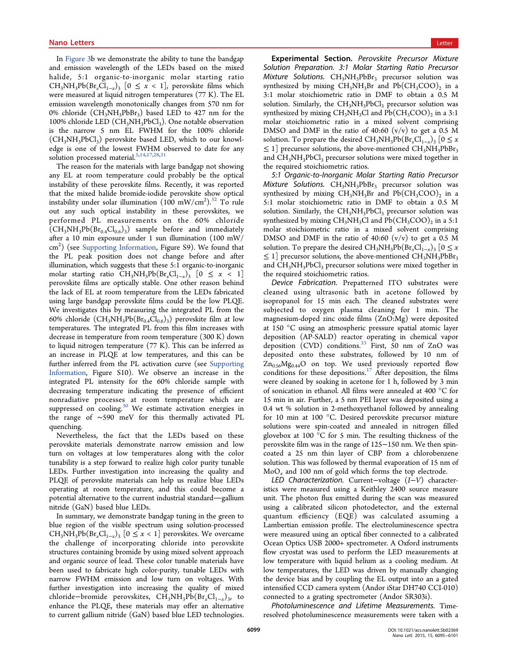In Figure 3b we demonstrate the ability to tune the bandgap and emission wavelength of the LEDs based on the mixed halide, 5:1 organic-to-inorganic molar starting ratio  $CH_3NH_3Pb(Br_xCl_{1-x})$ <sub>3</sub> [0 ≤ *x* < 1], perovskite films which were measured at liquid nitrogen temperatures (77 K). The EL emission wavelength monotonically changes from 570 nm for 0% chloride  $(\text{CH}_3\text{NH}_3\text{PbBr}_3)$  based LED to 427 nm for the 100% chloride LED  $(CH_3NH_3PbCl_3)$ . One notable observation is the narrow 5 nm EL FWHM for the 100% chloride  $(CH_3NH_3PbCl_3)$  perovskite based LED, which to our knowledge is one of the lowest FWHM observed to date for any solution processed material.<sup>5,14,17,28,31</sup>

The reason for the materials with large bandgap not showing any EL at room temperature could probably be the optical instability of these perovskite films. Recently, it was reported that the mixed halide bromide-iodide perovskite show optical instability under solar illumination  $(100 \text{ mW/cm}^2)$ .<sup>32</sup> To rule out any such optical instability in these perovskites, we performed PL measurements on the 60% chloride  $(CH_3NH_3Pb(Br_{0.4}Cl_{0.6})_3)$  sample before and immediately after a 10 min exposure under 1 sun illumination (100 mW/ cm<sup>2</sup>) (see Supporting Information, Figure S9). We found that the PL peak position does not change before and after illumination, which suggests that these 5:1 organic-to-inorganic molar starting ratio  $CH_3NH_3Pb(Br_xCl_{1-x})$  [0 ≤ *x* < 1] perovskite films are optically stable. One other reason behind the lack of EL at room temperature from the LEDs fabricated using large bandgap perovskite films could be the low PLQE. We investigates this by measuring the integrated PL from the 60% chloride  $(\text{CH}_3\text{NH}_3\text{Pb}(\text{Br}_{0.4}\text{Cl}_{0.6})_3)$  perovskite film at low temperatures. The integrated PL from this film increases with decrease in temperature from room temperature (300 K) down to liquid nitrogen temperature (77 K). This can be inferred as an increase in PLQE at low temperatures, and this can be further inferred from the PL activation curve (see Supporting Information, Figure S10). We observe an increase in the integrated PL intensity for the 60% chloride sample with decreasing temperature indicating the presence of efficient nonradiative processes at room temperature which are suppressed on cooling.<sup>30</sup> We estimate activation energies in the range of ∼590 meV for this thermally activated PL quenching.

Nevertheless, the fact that the LEDs based on these perovskite materials demonstrate narrow emission and low turn on voltages at low temperatures along with the color tunability is a step forward to realize high color purity tunable LEDs. Further investigation into increasing the quality and PLQE of perovskite materials can help us realize blue LEDs operating at room temperature, and this could become a potential alternative to the current industrial standard—gallium nitride (GaN) based blue LEDs.

In summary, we demonstrate bandgap tuning in the green to blue region of the visible spectrum using solution-processed  $CH_3NH_3Pb(Br_xCl_{1-x})$ <sub>3</sub> [0 ≤ *x* < 1] perovskites. We overcame the challenge of incorporating chloride into perovskite structures containing bromide by using mixed solvent approach and organic source of lead. These color tunable materials have been used to fabricate high color-purity, tunable LEDs with narrow FWHM emission and low turn on voltages. With further investigation into increasing the quality of mixed chloride−bromide perovskites, CH<sub>3</sub>NH<sub>3</sub>Pb(Br<sub>x</sub>Cl<sub>1−x</sub>)<sub>3</sub>, to enhance the PLQE, these materials may offer an alternative to current gallium nitride (GaN) based blue LED technologies.

Experimental Section. *Perovskite Precursor Mixture Solution Preparation. 3:1 Molar Starting Ratio Precursor Mixture Solutions.* CH<sub>3</sub>NH<sub>3</sub>PbBr<sub>3</sub> precursor solution was synthesized by mixing  $CH_3NH_3Br$  and  $Pb(CH_3COO)_2$  in a 3:1 molar stoichiometric ratio in DMF to obtain a 0.5 M solution. Similarly, the  $CH<sub>3</sub>NH<sub>3</sub>PbCl<sub>3</sub>$  precursor solution was synthesized by mixing  $\text{CH}_3\text{NH}_3\text{Cl}$  and  $\text{Pb}(\text{CH}_3\text{COO})_2$  in a 3:1 molar stoichiometric ratio in a mixed solvent comprising DMSO and DMF in the ratio of 40:60  $(v/v)$  to get a 0.5 M solution. To prepare the desired  $CH_3NH_3Pb(Br_xCl_{1-x})$ <sub>3</sub> [0 ≤ *x*  $\leq 1$ ] precursor solutions, the above-mentioned CH<sub>3</sub>NH<sub>3</sub>PbBr<sub>3</sub> and CH<sub>3</sub>NH<sub>3</sub>PbCl<sub>3</sub> precursor solutions were mixed together in the required stoichiometric ratios.

*5:1 Organic-to-Inorganic Molar Starting Ratio Precursor Mixture Solutions.* CH<sub>3</sub>NH<sub>3</sub>PbBr<sub>3</sub> precursor solution was synthesized by mixing  $CH_3NH_3Br$  and  $Pb(CH_3COO)_2$  in a 5:1 molar stoichiometric ratio in DMF to obtain a 0.5 M solution. Similarly, the  $CH<sub>3</sub>NH<sub>3</sub>PbCl<sub>3</sub>$  precursor solution was synthesized by mixing  $\text{CH}_3\text{NH}_3\text{Cl}$  and  $\text{Pb}(\text{CH}_3\text{COO})_2$  in a 5:1 molar stoichiometric ratio in a mixed solvent comprising DMSO and DMF in the ratio of 40:60  $(v/v)$  to get a 0.5 M solution. To prepare the desired  $CH_3NH_3Pb(Br_xCl_{1-x})$ <sub>3</sub> [0 ≤ *x*  $\leq 1$  precursor solutions, the above-mentioned CH<sub>3</sub>NH<sub>3</sub>PbBr<sub>3</sub> and  $CH<sub>3</sub>NH<sub>3</sub>PbCl<sub>3</sub>$  precursor solutions were mixed together in the required stoichiometric ratios.

*Device Fabrication.* Prepatterned ITO substrates were cleaned using ultrasonic bath in acetone followed by isopropanol for 15 min each. The cleaned substrates were subjected to oxygen plasma cleaning for 1 min. The magnesium-doped zinc oxide films (ZnO:Mg) were deposited at 150 °C using an atmospheric pressure spatial atomic layer deposition (AP-SALD) reactor operating in chemical vapor deposition (CVD) conditions.<sup>33</sup> First, 50 nm of ZnO was deposited onto these substrates, followed by 10 nm of  $Zn_{0.56}Mg_{0.44}O$  on top. We used previously reported flow conditions for these depositions.<sup>17</sup> After deposition, the films were cleaned by soaking in acetone for 1 h, followed by 3 min of sonication in ethanol. All films were annealed at 400 °C for 15 min in air. Further, a 5 nm PEI layer was deposited using a 0.4 wt % solution in 2-methoxyethanol followed by annealing for 10 min at 100 °C. Desired perovskite precursor mixture solutions were spin-coated and annealed in nitrogen filled glovebox at 100 °C for 5 min. The resulting thickness of the perovskite film was in the range of 125−150 nm. We then spincoated a 25 nm thin layer of CBP from a chlorobenzene solution. This was followed by thermal evaporation of 15 nm of MoO*<sup>x</sup>* and 100 nm of gold which forms the top electrode.

*LED Characterization.* Current−voltage (*I*−*V*) characteristics were measured using a Keithley 2400 source measure unit. The photon flux emitted during the scan was measured using a calibrated silicon photodetector, and the external quantum efficiency (EQE) was calculated assuming a Lambertian emission profile. The electroluminescence spectra were measured using an optical fiber connected to a calibrated Ocean Optics USB 2000+ spectrometer. A Oxford instruments flow cryostat was used to perform the LED measurements at low temperature with liquid helium as a cooling medium. At low temperatures, the LED was driven by manually changing the device bias and by coupling the EL output into an a gated intensified CCD camera system (Andor iStar DH740 CCI-010) connected to a grating spectrometer (Andor SR303i).

*Photoluminescence and Lifetime Measurements.* Timeresolved photoluminescence measurements were taken with a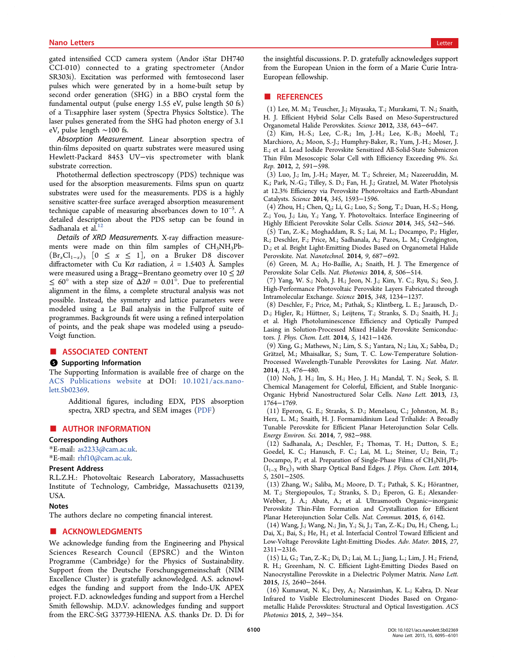gated intensified CCD camera system (Andor iStar DH740 CCI-010) connected to a grating spectrometer (Andor SR303i). Excitation was performed with femtosecond laser pulses which were generated by in a home-built setup by second order generation (SHG) in a BBO crystal form the fundamental output (pulse energy 1.55 eV, pulse length 50 fs) of a Ti:sapphire laser system (Spectra Physics Soltstice). The laser pulses generated from the SHG had photon energy of 3.1 eV, pulse length ∼100 fs.

*Absorption Measurement.* Linear absorption spectra of thin-films deposited on quartz substrates were measured using Hewlett-Packard 8453 UV−vis spectrometer with blank substrate correction.

Photothermal deflection spectroscopy (PDS) technique was used for the absorption measurements. Films spun on quartz substrates were used for the measurements. PDS is a highly sensitive scatter-free surface averaged absorption measurement technique capable of measuring absorbances down to 10<sup>−</sup><sup>5</sup> . A detailed description about the PDS setup can be found in Sadhanala et al.<sup>12</sup>

*Details of XRD Measurements.* X-ray diffraction measurements were made on thin film samples of  $CH<sub>3</sub>NH<sub>3</sub>Pb (\text{Br}_x \text{Cl}_{1-x})_3$  [0 ≤ *x* ≤ 1], on a Bruker D8 discover diffractometer with Cu K $\alpha$  radiation,  $\lambda = 1.5403$  Å. Samples were measured using a Bragg−Brentano geometry over 10 ≤ 2θ  $\leq 60^{\circ}$  with a step size of  $\Delta 2\theta = 0.01^{\circ}$ . Due to preferential alignment in the films, a complete structural analysis was not possible. Instead, the symmetry and lattice parameters were modeled using a Le Bail analysis in the Fullprof suite of programmes. Backgrounds fit were using a refined interpolation of points, and the peak shape was modeled using a pseudo-Voigt function.

#### ■ ASSOCIATED CONTENT

#### **6** Supporting Information

The Supporting Information is available free of charge on the ACS Publications website at DOI: 10.1021/acs.nanolett.5b02369.

Additional figures, including EDX, PDS absorption spectra, XRD spectra, and SEM images (PDF)

#### ■ AUTHOR INFORMATION

#### Corresponding Authors

\*E-mail: as2233@cam.ac.uk. \*E-mail: rhf10@cam.ac.uk.

#### Present Address

R.L.Z.H.: Photovoltaic Research Laboratory, Massachusetts Institute of Technology, Cambridge, Massachusetts 02139, USA.

#### Notes

The authors declare no competing financial interest.

#### ■ ACKNOWLEDGMENTS

We acknowledge funding from the Engineering and Physical Sciences Research Council (EPSRC) and the Winton Programme (Cambridge) for the Physics of Sustainability. Support from the Deutsche Forschungsgemeinschaft (NIM Excellence Cluster) is gratefully acknowledged. A.S. acknowledges the funding and support from the Indo-UK APEX project. F.D. acknowledges funding and support from a Herchel Smith fellowship. M.D.V. acknowledges funding and support from the ERC-StG 337739-HIENA. A.S. thanks Dr. D. Di for the insightful discussions. P. D. gratefully acknowledges support from the European Union in the form of a Marie Curie Intra-European fellowship.

### ■ REFERENCES

(1) Lee, M. M.; Teuscher, J.; Miyasaka, T.; Murakami, T. N.; Snaith, H. J. Efficient Hybrid Solar Cells Based on Meso-Superstructured Organometal Halide Perovskites. *Science* 2012, *338*, 643−647.

(2) Kim, H.-S.; Lee, C.-R.; Im, J.-H.; Lee, K.-B.; Moehl, T.; Marchioro, A.; Moon, S.-J.; Humphry-Baker, R.; Yum, J.-H.; Moser, J. E.; et al. Lead Iodide Perovskite Sensitized All-Solid-State Submicron Thin Film Mesoscopic Solar Cell with Efficiency Exceeding 9%. *Sci. Rep.* 2012, *2*, 591−598.

(3) Luo, J.; Im, J.-H.; Mayer, M. T.; Schreier, M.; Nazeeruddin, M. K.; Park, N.-G.; Tilley, S. D.; Fan, H. J.; Gratzel, M. Water Photolysis at 12.3% Efficiency via Perovskite Photovoltaics and Earth-Abundant Catalysts. *Science* 2014, *345*, 1593−1596.

(4) Zhou, H.; Chen, Q.; Li, G.; Luo, S.; Song, T.; Duan, H.-S.; Hong, Z.; You, J.; Liu, Y.; Yang, Y. Photovoltaics. Interface Engineering of Highly Efficient Perovskite Solar Cells. *Science* 2014, *345*, 542−546.

(5) Tan, Z.-K.; Moghaddam, R. S.; Lai, M. L.; Docampo, P.; Higler, R.; Deschler, F.; Price, M.; Sadhanala, A.; Pazos, L. M.; Credgington, D.; et al. Bright Light-Emitting Diodes Based on Organometal Halide Perovskite. *Nat. Nanotechnol.* 2014, *9*, 687−692.

(6) Green, M. A.; Ho-Baillie, A.; Snaith, H. J. The Emergence of Perovskite Solar Cells. *Nat. Photonics* 2014, *8*, 506−514.

(7) Yang, W. S.; Noh, J. H.; Jeon, N. J.; Kim, Y. C.; Ryu, S.; Seo, J. High-Performance Photovoltaic Perovskite Layers Fabricated through Intramolecular Exchange. *Science* 2015, *348*, 1234−1237.

(8) Deschler, F.; Price, M.; Pathak, S.; Klintberg, L. E.; Jarausch, D.- D.; Higler, R.; Hüttner, S.; Leijtens, T.; Stranks, S. D.; Snaith, H. J.; et al. High Photoluminescence Efficiency and Optically Pumped Lasing in Solution-Processed Mixed Halide Perovskite Semiconductors. *J. Phys. Chem. Lett.* 2014, *5*, 1421−1426.

(9) Xing, G.; Mathews, N.; Lim, S. S.; Yantara, N.; Liu, X.; Sabba, D.; Grätzel, M.; Mhaisalkar, S.; Sum, T. C. Low-Temperature Solution-Processed Wavelength-Tunable Perovskites for Lasing. *Nat. Mater.* 2014, *13*, 476−480.

(10) Noh, J. H.; Im, S. H.; Heo, J. H.; Mandal, T. N.; Seok, S. Il. Chemical Management for Colorful, Efficient, and Stable Inorganic-Organic Hybrid Nanostructured Solar Cells. *Nano Lett.* 2013, *13*, 1764−1769.

(11) Eperon, G. E.; Stranks, S. D.; Menelaou, C.; Johnston, M. B.; Herz, L. M.; Snaith, H. J. Formamidinium Lead Trihalide: A Broadly Tunable Perovskite for Efficient Planar Heterojunction Solar Cells. *Energy Environ. Sci.* 2014, *7*, 982−988.

(12) Sadhanala, A.; Deschler, F.; Thomas, T. H.; Dutton, S. E.; Goedel, K. C.; Hanusch, F. C.; Lai, M. L.; Steiner, U.; Bein, T.; Docampo, P.; et al. Preparation of Single-Phase Films of CH<sub>3</sub>NH<sub>3</sub>Pb- $(I_{1-X} Br_X)_3$  with Sharp Optical Band Edges. *J. Phys. Chem. Lett.* 2014, *5*, 2501−2505.

(13) Zhang, W.; Saliba, M.; Moore, D. T.; Pathak, S. K.; Hörantner, M. T.; Stergiopoulos, T.; Stranks, S. D.; Eperon, G. E.; Alexander-Webber, J. A.; Abate, A.; et al. Ultrasmooth Organic−inorganic Perovskite Thin-Film Formation and Crystallization for Efficient Planar Heterojunction Solar Cells. *Nat. Commun.* 2015, *6*, 6142.

(14) Wang, J.; Wang, N.; Jin, Y.; Si, J.; Tan, Z.-K.; Du, H.; Cheng, L.; Dai, X.; Bai, S.; He, H.; et al. Interfacial Control Toward Efficient and Low-Voltage Perovskite Light-Emitting Diodes. *Adv. Mater.* 2015, *27*, 2311−2316.

(15) Li, G.; Tan, Z.-K.; Di, D.; Lai, M. L.; Jiang, L.; Lim, J. H.; Friend, R. H.; Greenham, N. C. Efficient Light-Emitting Diodes Based on Nanocrystalline Perovskite in a Dielectric Polymer Matrix. *Nano Lett.* 2015, *15*, 2640−2644.

(16) Kumawat, N. K.; Dey, A.; Narasimhan, K. L.; Kabra, D. Near Infrared to Visible Electroluminescent Diodes Based on Organometallic Halide Perovskites: Structural and Optical Investigation. *ACS Photonics* 2015, *2*, 349−354.